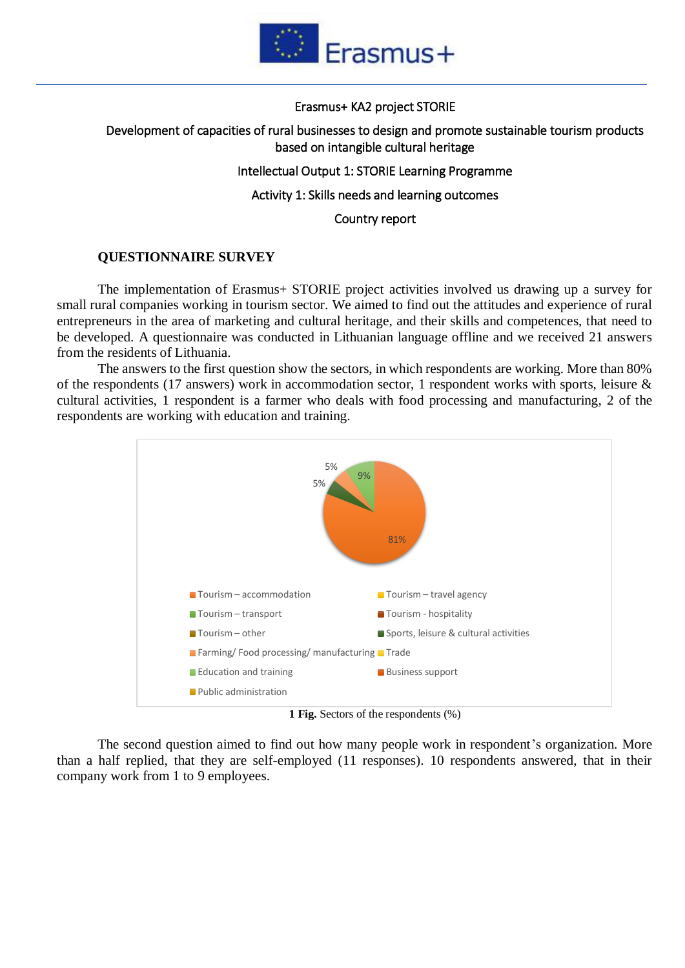

#### Erasmus+ KA2 project STORIE

# Development of capacities of rural businesses to design and promote sustainable tourism products based on intangible cultural heritage

# Intellectual Output 1: STORIE Learning Programme

# Activity 1: Skills needs and learning outcomes

## Country report

# **QUESTIONNAIRE SURVEY**

The implementation of Erasmus+ STORIE project activities involved us drawing up a survey for small rural companies working in tourism sector. We aimed to find out the attitudes and experience of rural entrepreneurs in the area of marketing and cultural heritage, and their skills and competences, that need to be developed. A questionnaire was conducted in Lithuanian language offline and we received 21 answers from the residents of Lithuania.

The answers to the first question show the sectors, in which respondents are working. More than 80% of the respondents (17 answers) work in accommodation sector, 1 respondent works with sports, leisure & cultural activities, 1 respondent is a farmer who deals with food processing and manufacturing, 2 of the respondents are working with education and training.



**1 Fig.** Sectors of the respondents (%)

The second question aimed to find out how many people work in respondent's organization. More than a half replied, that they are self-employed (11 responses). 10 respondents answered, that in their company work from 1 to 9 employees.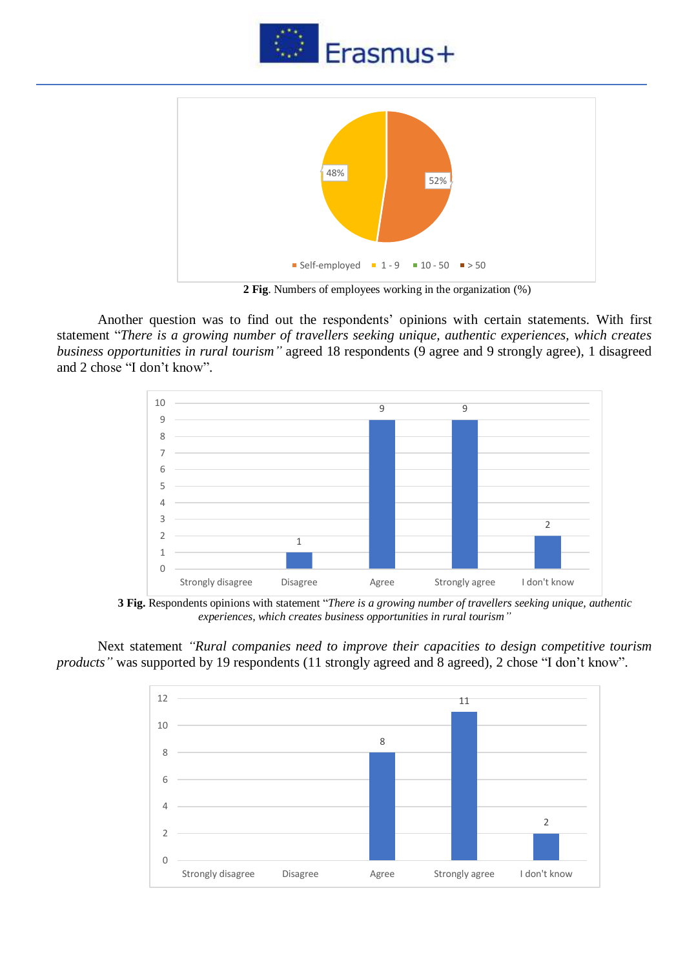



**2 Fig**. Numbers of employees working in the organization (%)

Another question was to find out the respondents' opinions with certain statements. With first statement "*There is a growing number of travellers seeking unique, authentic experiences, which creates business opportunities in rural tourism"* agreed 18 respondents (9 agree and 9 strongly agree), 1 disagreed and 2 chose "I don't know".



**3 Fig.** Respondents opinions with statement "*There is a growing number of travellers seeking unique, authentic experiences, which creates business opportunities in rural tourism"*

Next statement *"Rural companies need to improve their capacities to design competitive tourism products*" was supported by 19 respondents (11 strongly agreed and 8 agreed), 2 chose "I don't know".

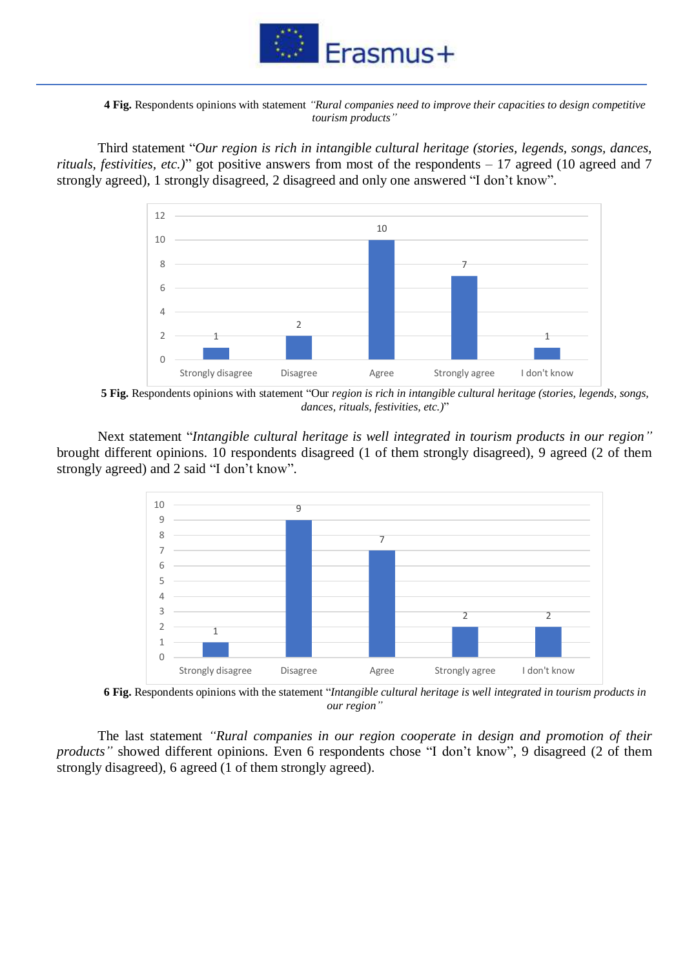

**4 Fig.** Respondents opinions with statement *"Rural companies need to improve their capacities to design competitive tourism products"*

Third statement "*Our region is rich in intangible cultural heritage (stories, legends, songs, dances, rituals, festivities, etc.)*" got positive answers from most of the respondents – 17 agreed (10 agreed and 7 strongly agreed), 1 strongly disagreed, 2 disagreed and only one answered "I don't know".



**5 Fig.** Respondents opinions with statement "Our *region is rich in intangible cultural heritage (stories, legends, songs, dances, rituals, festivities, etc.)*"

Next statement "*Intangible cultural heritage is well integrated in tourism products in our region"* brought different opinions. 10 respondents disagreed (1 of them strongly disagreed), 9 agreed (2 of them strongly agreed) and 2 said "I don't know".



**6 Fig.** Respondents opinions with the statement "*Intangible cultural heritage is well integrated in tourism products in our region"*

The last statement *"Rural companies in our region cooperate in design and promotion of their products*" showed different opinions. Even 6 respondents chose "I don't know", 9 disagreed (2 of them strongly disagreed), 6 agreed (1 of them strongly agreed).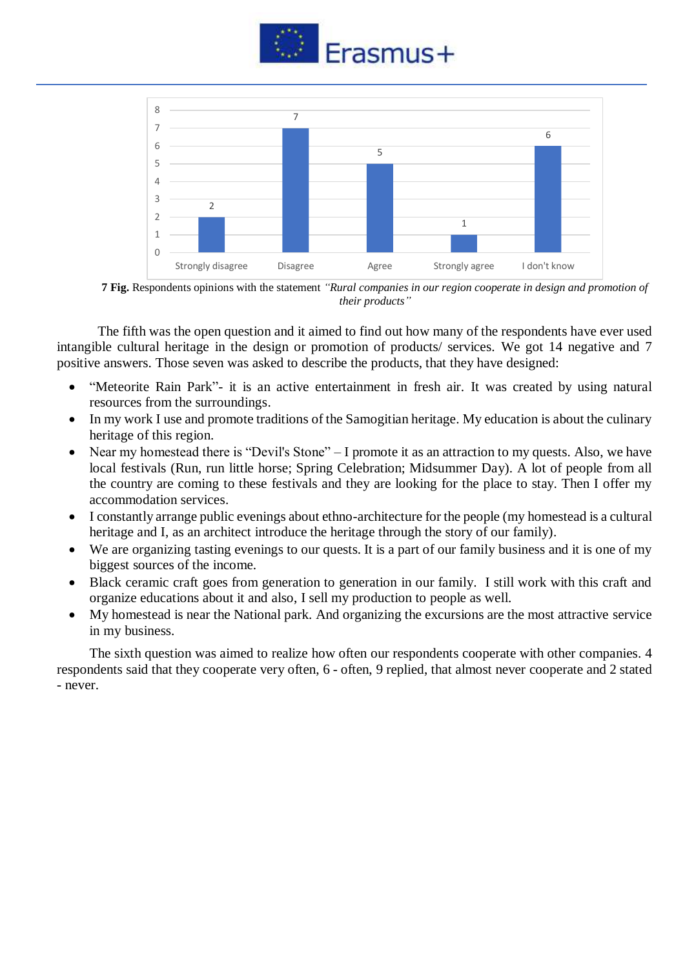



**7 Fig.** Respondents opinions with the statement *"Rural companies in our region cooperate in design and promotion of their products"*

The fifth was the open question and it aimed to find out how many of the respondents have ever used intangible cultural heritage in the design or promotion of products/ services. We got 14 negative and 7 positive answers. Those seven was asked to describe the products, that they have designed:

- "Meteorite Rain Park"- it is an active entertainment in fresh air. It was created by using natural resources from the surroundings.
- In my work I use and promote traditions of the Samogitian heritage. My education is about the culinary heritage of this region.
- Near my homestead there is "Devil's Stone" I promote it as an attraction to my quests. Also, we have local festivals (Run, run little horse; Spring Celebration; Midsummer Day). A lot of people from all the country are coming to these festivals and they are looking for the place to stay. Then I offer my accommodation services.
- I constantly arrange public evenings about ethno-architecture for the people (my homestead is a cultural heritage and I, as an architect introduce the heritage through the story of our family).
- We are organizing tasting evenings to our quests. It is a part of our family business and it is one of my biggest sources of the income.
- Black ceramic craft goes from generation to generation in our family. I still work with this craft and organize educations about it and also, I sell my production to people as well.
- My homestead is near the National park. And organizing the excursions are the most attractive service in my business.

The sixth question was aimed to realize how often our respondents cooperate with other companies. 4 respondents said that they cooperate very often, 6 - often, 9 replied, that almost never cooperate and 2 stated - never.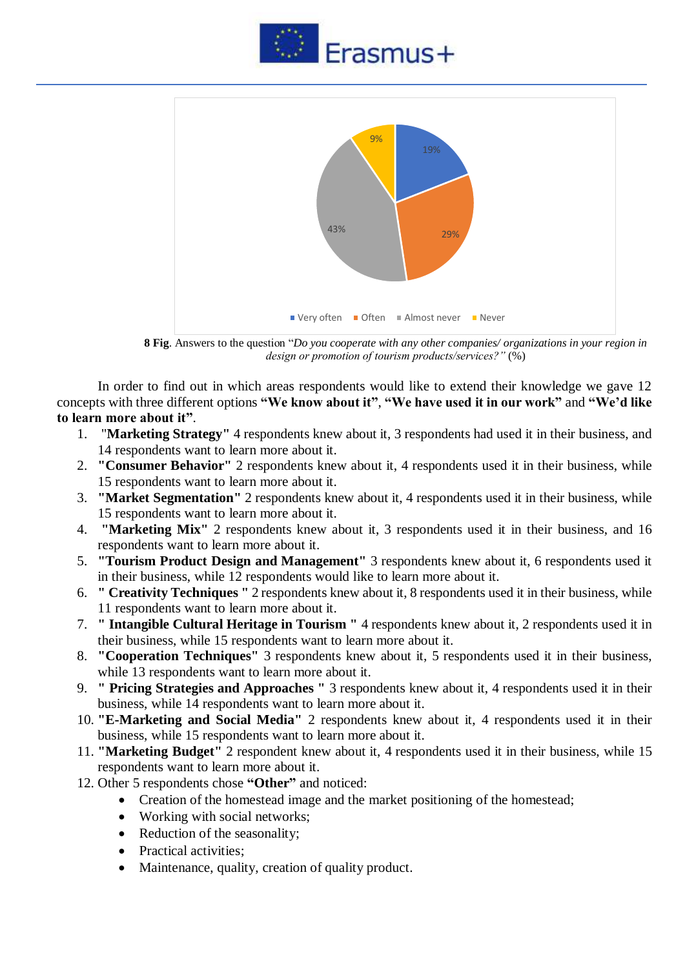



**8 Fig**. Answers to the question "*Do you cooperate with any other companies/ organizations in your region in design or promotion of tourism products/services?"* (%)

In order to find out in which areas respondents would like to extend their knowledge we gave 12 concepts with three different options **"We know about it"**, **"We have used it in our work"** and **"We'd like to learn more about it"**.

- 1. "**Marketing Strategy"** 4 respondents knew about it, 3 respondents had used it in their business, and 14 respondents want to learn more about it.
- 2. **"Consumer Behavior"** 2 respondents knew about it, 4 respondents used it in their business, while 15 respondents want to learn more about it.
- 3. **"Market Segmentation"** 2 respondents knew about it, 4 respondents used it in their business, while 15 respondents want to learn more about it.
- 4. **"Marketing Mix"** 2 respondents knew about it, 3 respondents used it in their business, and 16 respondents want to learn more about it.
- 5. **"Tourism Product Design and Management"** 3 respondents knew about it, 6 respondents used it in their business, while 12 respondents would like to learn more about it.
- 6. **" Creativity Techniques "** 2 respondents knew about it, 8 respondents used it in their business, while 11 respondents want to learn more about it.
- 7. **" Intangible Cultural Heritage in Tourism "** 4 respondents knew about it, 2 respondents used it in their business, while 15 respondents want to learn more about it.
- 8. **"Cooperation Techniques"** 3 respondents knew about it, 5 respondents used it in their business, while 13 respondents want to learn more about it.
- 9. **" Pricing Strategies and Approaches "** 3 respondents knew about it, 4 respondents used it in their business, while 14 respondents want to learn more about it.
- 10. **"E-Marketing and Social Media"** 2 respondents knew about it, 4 respondents used it in their business, while 15 respondents want to learn more about it.
- 11. **"Marketing Budget"** 2 respondent knew about it, 4 respondents used it in their business, while 15 respondents want to learn more about it.
- 12. Other 5 respondents chose **"Other"** and noticed:
	- Creation of the homestead image and the market positioning of the homestead:
	- Working with social networks;
	- Reduction of the seasonality;
	- Practical activities:
	- Maintenance, quality, creation of quality product.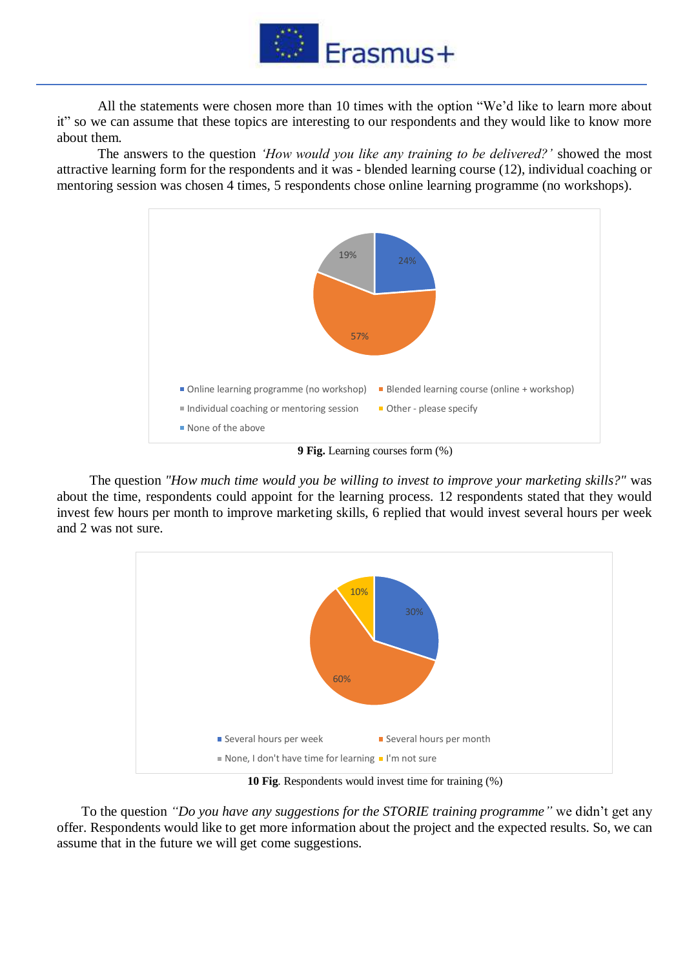

All the statements were chosen more than 10 times with the option "We'd like to learn more about it" so we can assume that these topics are interesting to our respondents and they would like to know more about them.

The answers to the question *'How would you like any training to be delivered?'* showed the most attractive learning form for the respondents and it was - blended learning course (12), individual coaching or mentoring session was chosen 4 times, 5 respondents chose online learning programme (no workshops).



**9 Fig.** Learning courses form (%)

The question *"How much time would you be willing to invest to improve your marketing skills?"* was about the time, respondents could appoint for the learning process. 12 respondents stated that they would invest few hours per month to improve marketing skills, 6 replied that would invest several hours per week and 2 was not sure.



**10 Fig**. Respondents would invest time for training (%)

To the question *"Do you have any suggestions for the STORIE training programme"* we didn't get any offer. Respondents would like to get more information about the project and the expected results. So, we can assume that in the future we will get come suggestions.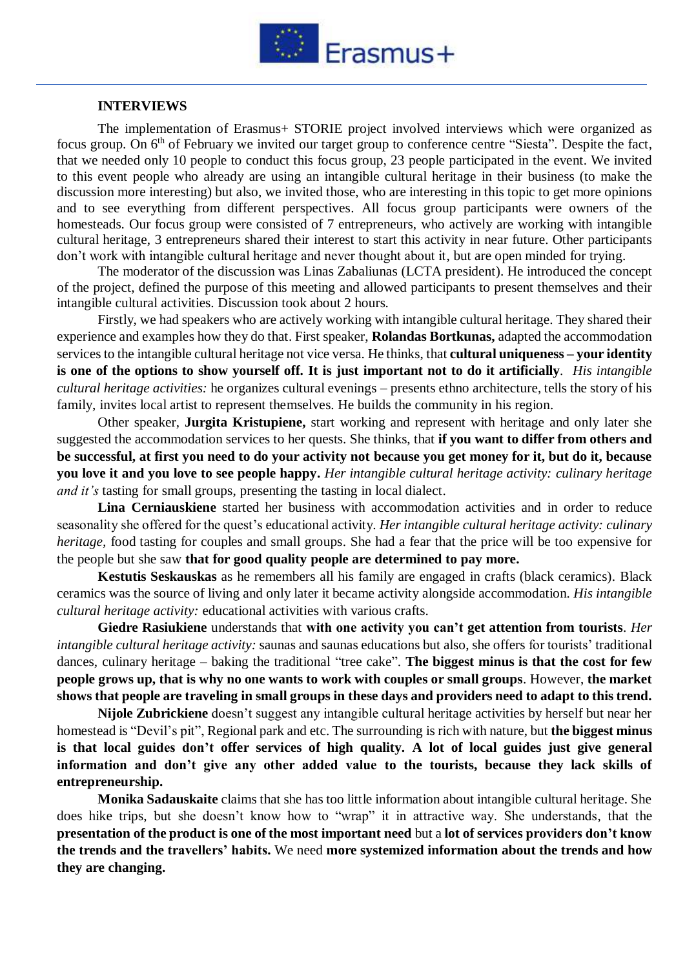

## **INTERVIEWS**

The implementation of Erasmus+ STORIE project involved interviews which were organized as focus group. On 6<sup>th</sup> of February we invited our target group to conference centre "Siesta". Despite the fact, that we needed only 10 people to conduct this focus group, 23 people participated in the event. We invited to this event people who already are using an intangible cultural heritage in their business (to make the discussion more interesting) but also, we invited those, who are interesting in this topic to get more opinions and to see everything from different perspectives. All focus group participants were owners of the homesteads. Our focus group were consisted of 7 entrepreneurs, who actively are working with intangible cultural heritage, 3 entrepreneurs shared their interest to start this activity in near future. Other participants don't work with intangible cultural heritage and never thought about it, but are open minded for trying.

The moderator of the discussion was Linas Zabaliunas (LCTA president). He introduced the concept of the project, defined the purpose of this meeting and allowed participants to present themselves and their intangible cultural activities. Discussion took about 2 hours.

Firstly, we had speakers who are actively working with intangible cultural heritage. They shared their experience and examples how they do that. First speaker, **Rolandas Bortkunas,** adapted the accommodation services to the intangible cultural heritage not vice versa. He thinks, that **cultural uniqueness – your identity is one of the options to show yourself off. It is just important not to do it artificially**. *His intangible cultural heritage activities:* he organizes cultural evenings – presents ethno architecture, tells the story of his family, invites local artist to represent themselves. He builds the community in his region.

Other speaker, **Jurgita Kristupiene,** start working and represent with heritage and only later she suggested the accommodation services to her quests. She thinks, that **if you want to differ from others and be successful, at first you need to do your activity not because you get money for it, but do it, because you love it and you love to see people happy.** *Her intangible cultural heritage activity: culinary heritage and it's* tasting for small groups, presenting the tasting in local dialect.

**Lina Cerniauskiene** started her business with accommodation activities and in order to reduce seasonality she offered for the quest's educational activity. *Her intangible cultural heritage activity: culinary heritage,* food tasting for couples and small groups. She had a fear that the price will be too expensive for the people but she saw **that for good quality people are determined to pay more.**

**Kestutis Seskauskas** as he remembers all his family are engaged in crafts (black ceramics). Black ceramics was the source of living and only later it became activity alongside accommodation. *His intangible cultural heritage activity:* educational activities with various crafts.

**Giedre Rasiukiene** understands that **with one activity you can't get attention from tourists**. *Her intangible cultural heritage activity:* saunas and saunas educations but also, she offers for tourists' traditional dances, culinary heritage – baking the traditional "tree cake". **The biggest minus is that the cost for few people grows up, that is why no one wants to work with couples or small groups**. However, **the market shows that people are traveling in small groups in these days and providers need to adapt to this trend.**

**Nijole Zubrickiene** doesn't suggest any intangible cultural heritage activities by herself but near her homestead is "Devil's pit", Regional park and etc. The surrounding is rich with nature, but **the biggest minus is that local guides don't offer services of high quality. A lot of local guides just give general information and don't give any other added value to the tourists, because they lack skills of entrepreneurship.**

**Monika Sadauskaite** claims that she has too little information about intangible cultural heritage. She does hike trips, but she doesn't know how to "wrap" it in attractive way. She understands, that the **presentation of the product is one of the most important need** but a **lot of services providers don't know the trends and the travellers' habits.** We need **more systemized information about the trends and how they are changing.**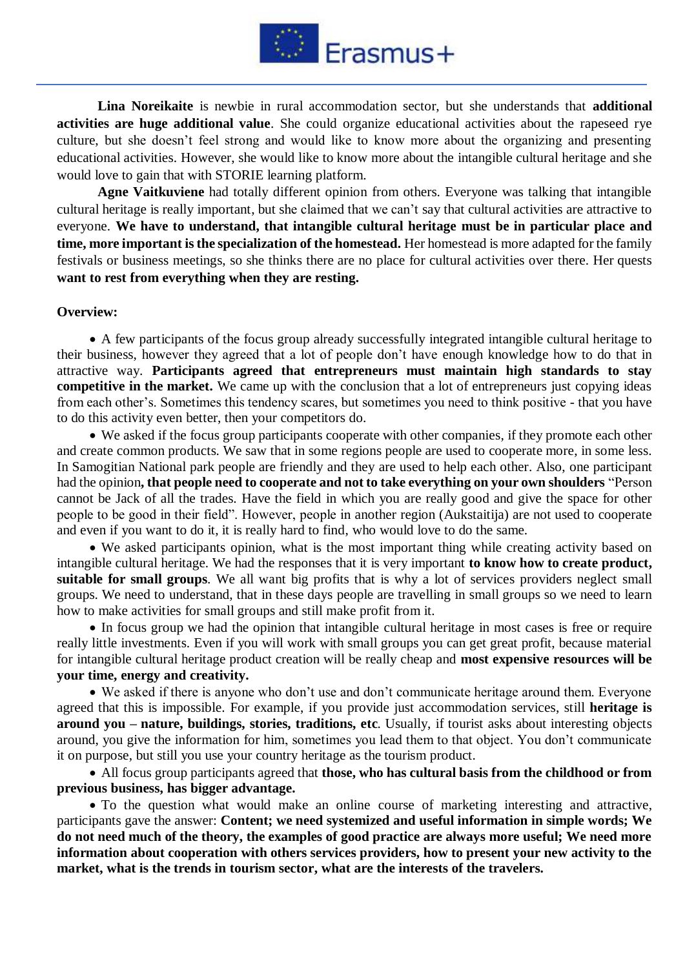

**Lina Noreikaite** is newbie in rural accommodation sector, but she understands that **additional activities are huge additional value**. She could organize educational activities about the rapeseed rye culture, but she doesn't feel strong and would like to know more about the organizing and presenting educational activities. However, she would like to know more about the intangible cultural heritage and she would love to gain that with STORIE learning platform.

**Agne Vaitkuviene** had totally different opinion from others. Everyone was talking that intangible cultural heritage is really important, but she claimed that we can't say that cultural activities are attractive to everyone. **We have to understand, that intangible cultural heritage must be in particular place and time, more important is the specialization of the homestead.** Her homestead is more adapted for the family festivals or business meetings, so she thinks there are no place for cultural activities over there. Her quests **want to rest from everything when they are resting.**

## **Overview:**

• A few participants of the focus group already successfully integrated intangible cultural heritage to their business, however they agreed that a lot of people don't have enough knowledge how to do that in attractive way. **Participants agreed that entrepreneurs must maintain high standards to stay competitive in the market.** We came up with the conclusion that a lot of entrepreneurs just copying ideas from each other's. Sometimes this tendency scares, but sometimes you need to think positive - that you have to do this activity even better, then your competitors do.

• We asked if the focus group participants cooperate with other companies, if they promote each other and create common products. We saw that in some regions people are used to cooperate more, in some less. In Samogitian National park people are friendly and they are used to help each other. Also, one participant had the opinion**, that people need to cooperate and not to take everything on your own shoulders** "Person cannot be Jack of all the trades. Have the field in which you are really good and give the space for other people to be good in their field". However, people in another region (Aukstaitija) are not used to cooperate and even if you want to do it, it is really hard to find, who would love to do the same.

• We asked participants opinion, what is the most important thing while creating activity based on intangible cultural heritage. We had the responses that it is very important **to know how to create product, suitable for small groups**. We all want big profits that is why a lot of services providers neglect small groups. We need to understand, that in these days people are travelling in small groups so we need to learn how to make activities for small groups and still make profit from it.

• In focus group we had the opinion that intangible cultural heritage in most cases is free or require really little investments. Even if you will work with small groups you can get great profit, because material for intangible cultural heritage product creation will be really cheap and **most expensive resources will be your time, energy and creativity.**

• We asked if there is anyone who don't use and don't communicate heritage around them. Everyone agreed that this is impossible. For example, if you provide just accommodation services, still **heritage is around you – nature, buildings, stories, traditions, etc**. Usually, if tourist asks about interesting objects around, you give the information for him, sometimes you lead them to that object. You don't communicate it on purpose, but still you use your country heritage as the tourism product.

• All focus group participants agreed that **those, who has cultural basis from the childhood or from previous business, has bigger advantage.**

• To the question what would make an online course of marketing interesting and attractive, participants gave the answer: **Content; we need systemized and useful information in simple words; We do not need much of the theory, the examples of good practice are always more useful; We need more information about cooperation with others services providers, how to present your new activity to the market, what is the trends in tourism sector, what are the interests of the travelers.**